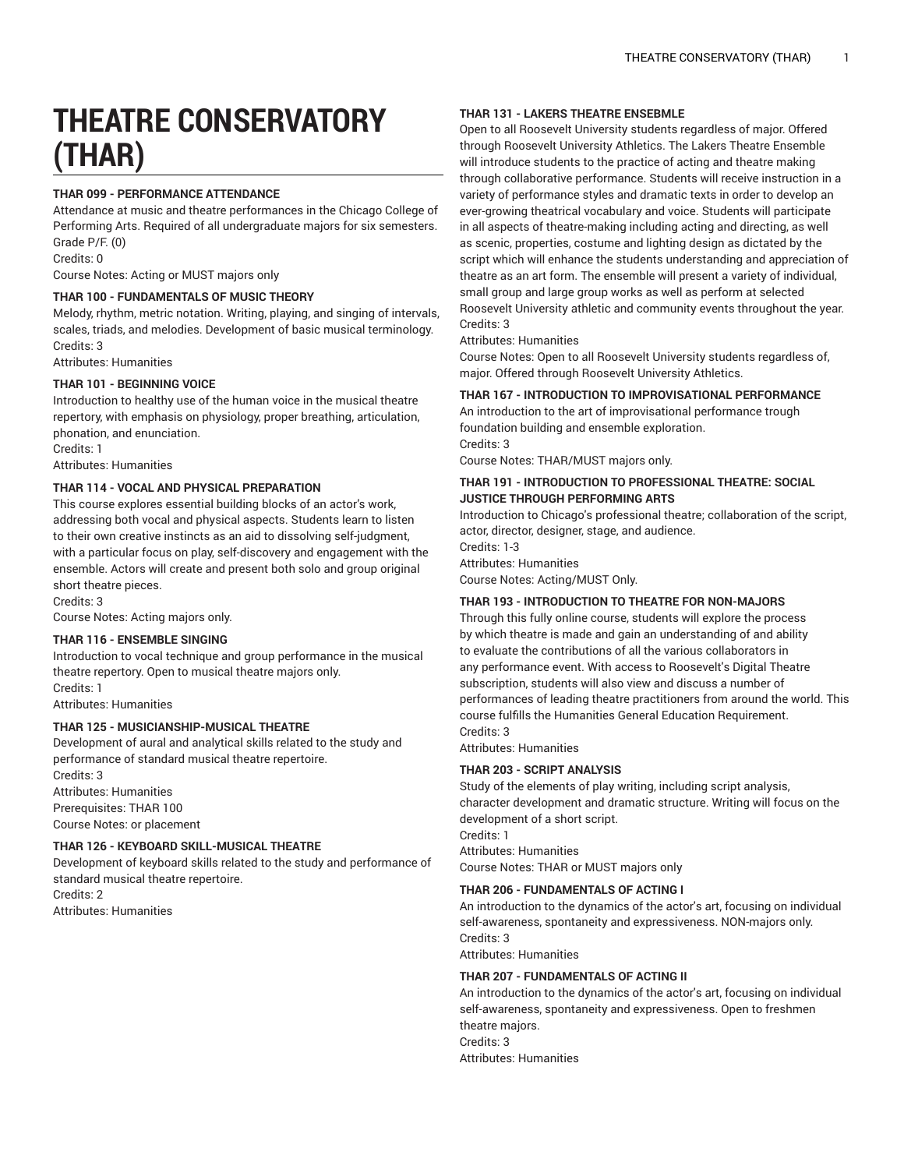# **THEATRE CONSERVATORY (THAR)**

# **THAR 099 - PERFORMANCE ATTENDANCE**

Attendance at music and theatre performances in the Chicago College of Performing Arts. Required of all undergraduate majors for six semesters. Grade P/F. (0) Credits: 0

Course Notes: Acting or MUST majors only

# **THAR 100 - FUNDAMENTALS OF MUSIC THEORY**

Melody, rhythm, metric notation. Writing, playing, and singing of intervals, scales, triads, and melodies. Development of basic musical terminology. Credits: 3

Attributes: Humanities

# **THAR 101 - BEGINNING VOICE**

Introduction to healthy use of the human voice in the musical theatre repertory, with emphasis on physiology, proper breathing, articulation, phonation, and enunciation.

Credits: 1

Attributes: Humanities

# **THAR 114 - VOCAL AND PHYSICAL PREPARATION**

This course explores essential building blocks of an actor's work, addressing both vocal and physical aspects. Students learn to listen to their own creative instincts as an aid to dissolving self-judgment, with a particular focus on play, self-discovery and engagement with the ensemble. Actors will create and present both solo and group original short theatre pieces.

Credits: 3

Course Notes: Acting majors only.

# **THAR 116 - ENSEMBLE SINGING**

Introduction to vocal technique and group performance in the musical theatre repertory. Open to musical theatre majors only. Credits: 1

Attributes: Humanities

# **THAR 125 - MUSICIANSHIP-MUSICAL THEATRE**

Development of aural and analytical skills related to the study and performance of standard musical theatre repertoire. Credits: 3 Attributes: Humanities Prerequisites: THAR 100

Course Notes: or placement

# **THAR 126 - KEYBOARD SKILL-MUSICAL THEATRE**

Development of keyboard skills related to the study and performance of standard musical theatre repertoire. Credits: 2

Attributes: Humanities

# **THAR 131 - LAKERS THEATRE ENSEBMLE**

Open to all Roosevelt University students regardless of major. Offered through Roosevelt University Athletics. The Lakers Theatre Ensemble will introduce students to the practice of acting and theatre making through collaborative performance. Students will receive instruction in a variety of performance styles and dramatic texts in order to develop an ever-growing theatrical vocabulary and voice. Students will participate in all aspects of theatre-making including acting and directing, as well as scenic, properties, costume and lighting design as dictated by the script which will enhance the students understanding and appreciation of theatre as an art form. The ensemble will present a variety of individual, small group and large group works as well as perform at selected Roosevelt University athletic and community events throughout the year. Credits: 3

Attributes: Humanities

Course Notes: Open to all Roosevelt University students regardless of, major. Offered through Roosevelt University Athletics.

# **THAR 167 - INTRODUCTION TO IMPROVISATIONAL PERFORMANCE**

An introduction to the art of improvisational performance trough foundation building and ensemble exploration. Credits: 3

Course Notes: THAR/MUST majors only.

# **THAR 191 - INTRODUCTION TO PROFESSIONAL THEATRE: SOCIAL JUSTICE THROUGH PERFORMING ARTS**

Introduction to Chicago's professional theatre; collaboration of the script, actor, director, designer, stage, and audience. Credits: 1-3

Attributes: Humanities

Course Notes: Acting/MUST Only.

# **THAR 193 - INTRODUCTION TO THEATRE FOR NON-MAJORS**

Through this fully online course, students will explore the process by which theatre is made and gain an understanding of and ability to evaluate the contributions of all the various collaborators in any performance event. With access to Roosevelt's Digital Theatre subscription, students will also view and discuss a number of performances of leading theatre practitioners from around the world. This course fulfills the Humanities General Education Requirement. Credits: 3

Attributes: Humanities

## **THAR 203 - SCRIPT ANALYSIS**

Study of the elements of play writing, including script analysis, character development and dramatic structure. Writing will focus on the development of a short script. Credits: 1 Attributes: Humanities

Course Notes: THAR or MUST majors only

## **THAR 206 - FUNDAMENTALS OF ACTING I**

An introduction to the dynamics of the actor's art, focusing on individual self-awareness, spontaneity and expressiveness. NON-majors only. Credits: 3

Attributes: Humanities

# **THAR 207 - FUNDAMENTALS OF ACTING II**

An introduction to the dynamics of the actor's art, focusing on individual self-awareness, spontaneity and expressiveness. Open to freshmen theatre majors. Credits: 3 Attributes: Humanities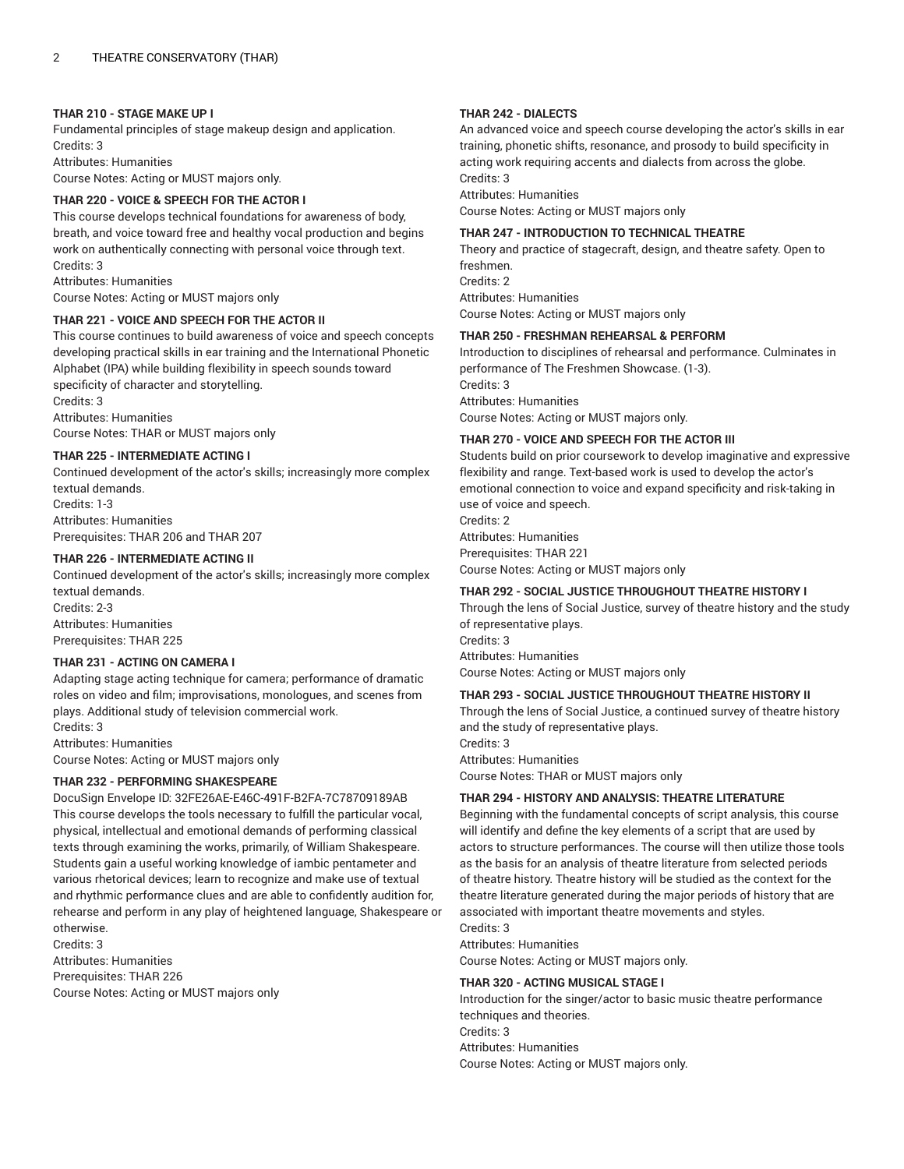# **THAR 210 - STAGE MAKE UP I**

Fundamental principles of stage makeup design and application. Credits: 3 Attributes: Humanities

Course Notes: Acting or MUST majors only.

# **THAR 220 - VOICE & SPEECH FOR THE ACTOR I**

This course develops technical foundations for awareness of body, breath, and voice toward free and healthy vocal production and begins work on authentically connecting with personal voice through text. Credits: 3

Attributes: Humanities

Course Notes: Acting or MUST majors only

# **THAR 221 - VOICE AND SPEECH FOR THE ACTOR II**

This course continues to build awareness of voice and speech concepts developing practical skills in ear training and the International Phonetic Alphabet (IPA) while building flexibility in speech sounds toward specificity of character and storytelling. Credits: 3

Attributes: Humanities Course Notes: THAR or MUST majors only

## **THAR 225 - INTERMEDIATE ACTING I**

Continued development of the actor's skills; increasingly more complex textual demands. Credits: 1-3 Attributes: Humanities Prerequisites: THAR 206 and THAR 207

# **THAR 226 - INTERMEDIATE ACTING II**

Continued development of the actor's skills; increasingly more complex textual demands.

Credits: 2-3 Attributes: Humanities Prerequisites: THAR 225

## **THAR 231 - ACTING ON CAMERA I**

Adapting stage acting technique for camera; performance of dramatic roles on video and film; improvisations, monologues, and scenes from plays. Additional study of television commercial work.

Credits: 3 Attributes: Humanities

Course Notes: Acting or MUST majors only

## **THAR 232 - PERFORMING SHAKESPEARE**

DocuSign Envelope ID: 32FE26AE-E46C-491F-B2FA-7C78709189AB This course develops the tools necessary to fulfill the particular vocal, physical, intellectual and emotional demands of performing classical texts through examining the works, primarily, of William Shakespeare. Students gain a useful working knowledge of iambic pentameter and various rhetorical devices; learn to recognize and make use of textual and rhythmic performance clues and are able to confidently audition for, rehearse and perform in any play of heightened language, Shakespeare or otherwise.

Credits: 3

Attributes: Humanities

Prerequisites: THAR 226 Course Notes: Acting or MUST majors only

## **THAR 242 - DIALECTS**

An advanced voice and speech course developing the actor's skills in ear training, phonetic shifts, resonance, and prosody to build specificity in acting work requiring accents and dialects from across the globe. Credits: 3

Attributes: Humanities

Course Notes: Acting or MUST majors only

## **THAR 247 - INTRODUCTION TO TECHNICAL THEATRE**

Theory and practice of stagecraft, design, and theatre safety. Open to freshmen. Credite: 2 Attributes: Humanities Course Notes: Acting or MUST majors only

## **THAR 250 - FRESHMAN REHEARSAL & PERFORM**

Introduction to disciplines of rehearsal and performance. Culminates in performance of The Freshmen Showcase. (1-3). Credits: 3 Attributes: Humanities Course Notes: Acting or MUST majors only.

# **THAR 270 - VOICE AND SPEECH FOR THE ACTOR III**

Students build on prior coursework to develop imaginative and expressive flexibility and range. Text-based work is used to develop the actor's emotional connection to voice and expand specificity and risk-taking in use of voice and speech.

Credite: 2 Attributes: Humanities Prerequisites: THAR 221 Course Notes: Acting or MUST majors only

## **THAR 292 - SOCIAL JUSTICE THROUGHOUT THEATRE HISTORY I**

Through the lens of Social Justice, survey of theatre history and the study of representative plays. Credits: 3 Attributes: Humanities Course Notes: Acting or MUST majors only

# **THAR 293 - SOCIAL JUSTICE THROUGHOUT THEATRE HISTORY II**

Through the lens of Social Justice, a continued survey of theatre history and the study of representative plays.

Credits: 3 Attributes: Humanities

Course Notes: THAR or MUST majors only

# **THAR 294 - HISTORY AND ANALYSIS: THEATRE LITERATURE**

Beginning with the fundamental concepts of script analysis, this course will identify and define the key elements of a script that are used by actors to structure performances. The course will then utilize those tools as the basis for an analysis of theatre literature from selected periods of theatre history. Theatre history will be studied as the context for the theatre literature generated during the major periods of history that are associated with important theatre movements and styles. Credits: 3

Attributes: Humanities

Course Notes: Acting or MUST majors only.

## **THAR 320 - ACTING MUSICAL STAGE I**

Introduction for the singer/actor to basic music theatre performance techniques and theories. Credits: 3 Attributes: Humanities Course Notes: Acting or MUST majors only.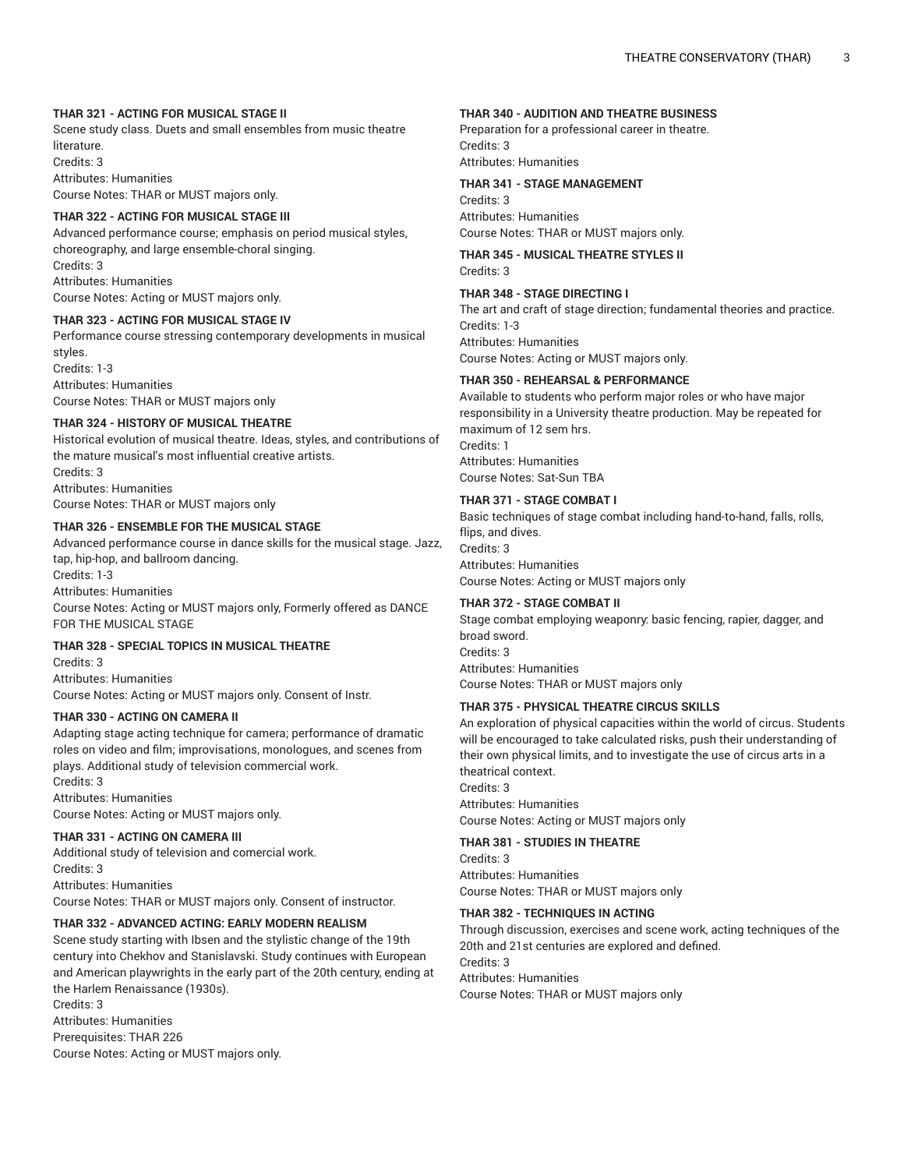# **THAR 321 - ACTING FOR MUSICAL STAGE II**

Scene study class. Duets and small ensembles from music theatre literature. Credits: 3 Attributes: Humanities Course Notes: THAR or MUST majors only.

#### **THAR 322 - ACTING FOR MUSICAL STAGE III**

Advanced performance course; emphasis on period musical styles, choreography, and large ensemble-choral singing. Credits: 3 Attributes: Humanities

Course Notes: Acting or MUST majors only.

#### **THAR 323 - ACTING FOR MUSICAL STAGE IV**

Performance course stressing contemporary developments in musical styles.

Credits: 1-3 Attributes: Humanities Course Notes: THAR or MUST majors only

# **THAR 324 - HISTORY OF MUSICAL THEATRE**

Historical evolution of musical theatre. Ideas, styles, and contributions of the mature musical's most influential creative artists. Credits: 3 Attributes: Humanities Course Notes: THAR or MUST majors only

#### **THAR 326 - ENSEMBLE FOR THE MUSICAL STAGE**

Advanced performance course in dance skills for the musical stage. Jazz, tap, hip-hop, and ballroom dancing. Credits: 1-3 Attributes: Humanities Course Notes: Acting or MUST majors only, Formerly offered as DANCE FOR THE MUSICAL STAGE

#### **THAR 328 - SPECIAL TOPICS IN MUSICAL THEATRE**

Credits: 3 Attributes: Humanities Course Notes: Acting or MUST majors only. Consent of Instr.

#### **THAR 330 - ACTING ON CAMERA II**

Adapting stage acting technique for camera; performance of dramatic roles on video and film; improvisations, monologues, and scenes from plays. Additional study of television commercial work. Credits: 3

Attributes: Humanities Course Notes: Acting or MUST majors only.

#### **THAR 331 - ACTING ON CAMERA III**

Additional study of television and comercial work. Credits: 3 Attributes: Humanities Course Notes: THAR or MUST majors only. Consent of instructor.

## **THAR 332 - ADVANCED ACTING: EARLY MODERN REALISM**

Scene study starting with Ibsen and the stylistic change of the 19th century into Chekhov and Stanislavski. Study continues with European and American playwrights in the early part of the 20th century, ending at the Harlem Renaissance (1930s).

Credits: 3 Attributes: Humanities Prerequisites: THAR 226 Course Notes: Acting or MUST majors only.

#### **THAR 340 - AUDITION AND THEATRE BUSINESS**

Preparation for a professional career in theatre. Credits: 3 Attributes: Humanities

#### **THAR 341 - STAGE MANAGEMENT**

Credits: 3 Attributes: Humanities Course Notes: THAR or MUST majors only.

**THAR 345 - MUSICAL THEATRE STYLES II** Credits: 3

## **THAR 348 - STAGE DIRECTING I**

The art and craft of stage direction; fundamental theories and practice. Credits: 1-3 Attributes: Humanities Course Notes: Acting or MUST majors only.

#### **THAR 350 - REHEARSAL & PERFORMANCE**

Available to students who perform major roles or who have major responsibility in a University theatre production. May be repeated for maximum of 12 sem hrs. Credits: 1 Attributes: Humanities Course Notes: Sat-Sun TBA

# **THAR 371 - STAGE COMBAT I**

Basic techniques of stage combat including hand-to-hand, falls, rolls, flips, and dives. Credits: 3 Attributes: Humanities Course Notes: Acting or MUST majors only

#### **THAR 372 - STAGE COMBAT II**

Stage combat employing weaponry: basic fencing, rapier, dagger, and broad sword. Credits: 3 Attributes: Humanities Course Notes: THAR or MUST majors only

## **THAR 375 - PHYSICAL THEATRE CIRCUS SKILLS**

An exploration of physical capacities within the world of circus. Students will be encouraged to take calculated risks, push their understanding of their own physical limits, and to investigate the use of circus arts in a theatrical context.

Credits: 3 Attributes: Humanities Course Notes: Acting or MUST majors only

#### **THAR 381 - STUDIES IN THEATRE**

Credits: 3 Attributes: Humanities Course Notes: THAR or MUST majors only

#### **THAR 382 - TECHNIQUES IN ACTING**

Through discussion, exercises and scene work, acting techniques of the 20th and 21st centuries are explored and defined. Credits: 3 Attributes: Humanities

Course Notes: THAR or MUST majors only